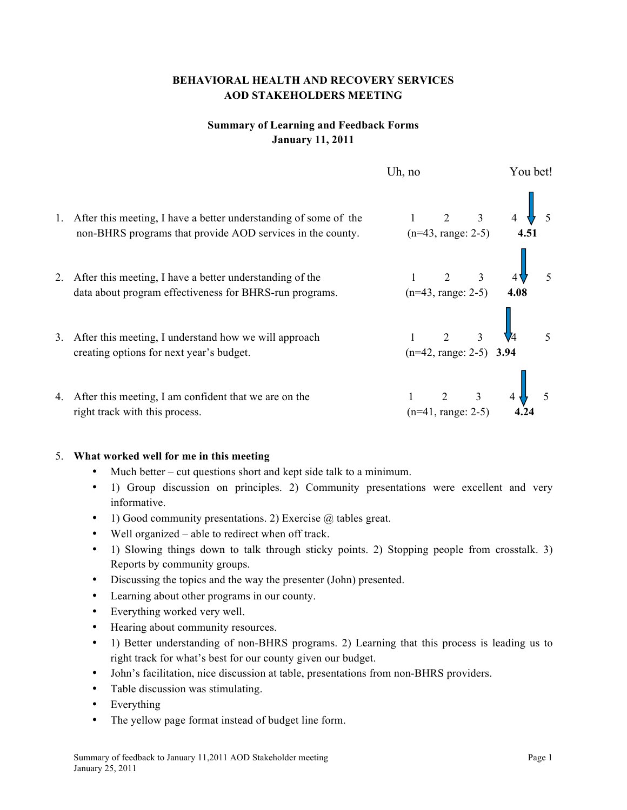## **BEHAVIORAL HEALTH AND RECOVERY SERVICES AOD STAKEHOLDERS MEETING**

## **Summary of Learning and Feedback Forms January 11, 2011**

|    |                                                                                                                                | Uh, no |                                                                         | You bet!                                      |  |
|----|--------------------------------------------------------------------------------------------------------------------------------|--------|-------------------------------------------------------------------------|-----------------------------------------------|--|
| 1. | After this meeting, I have a better understanding of some of the<br>non-BHRS programs that provide AOD services in the county. |        |                                                                         | 1 2 3 4 5<br>(n=43, range: 2-5) 4.51          |  |
|    | After this meeting, I have a better understanding of the<br>data about program effectiveness for BHRS-run programs.            |        |                                                                         | 1 2 3 4 $\sqrt{ }$<br>(n=43, range: 2-5) 4.08 |  |
| 3. | After this meeting, I understand how we will approach<br>creating options for next year's budget.                              |        | $\begin{array}{ccc} 1 & 2 & 3 \end{array}$<br>$(n=42, range: 2-5)$ 3.94 |                                               |  |
|    | 4. After this meeting, I am confident that we are on the<br>right track with this process.                                     |        | $1 \quad 2 \quad 3 \quad 4$<br>$(n=41, range: 2-5)$                     |                                               |  |

## 5. **What worked well for me in this meeting**

- Much better cut questions short and kept side talk to a minimum.
- 1) Group discussion on principles. 2) Community presentations were excellent and very informative.
- 1) Good community presentations. 2) Exercise  $\omega$  tables great.
- Well organized able to redirect when off track.
- 1) Slowing things down to talk through sticky points. 2) Stopping people from crosstalk. 3) Reports by community groups.
- Discussing the topics and the way the presenter (John) presented.
- Learning about other programs in our county.
- Everything worked very well.
- Hearing about community resources.
- 1) Better understanding of non-BHRS programs. 2) Learning that this process is leading us to right track for what's best for our county given our budget.
- John's facilitation, nice discussion at table, presentations from non-BHRS providers.
- Table discussion was stimulating.
- Everything
- The yellow page format instead of budget line form.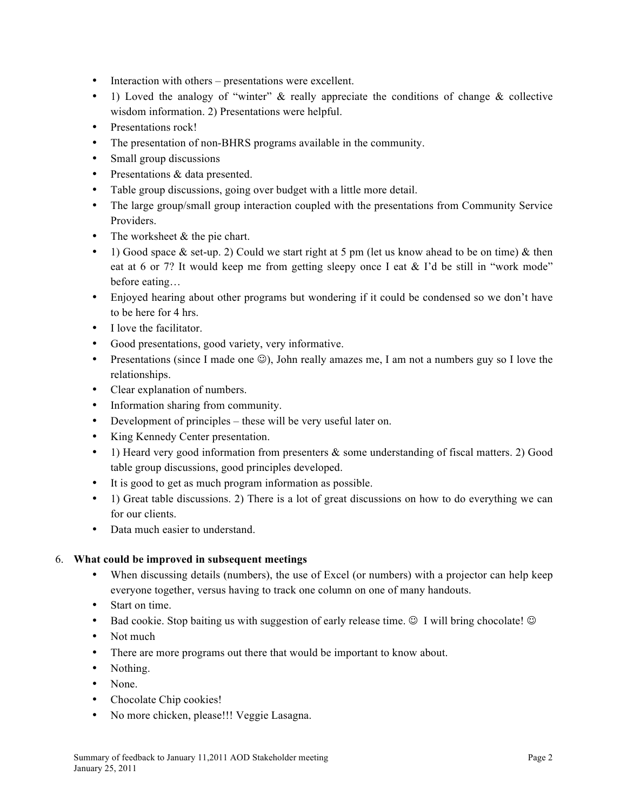- Interaction with others presentations were excellent.
- 1) Loved the analogy of "winter"  $\&$  really appreciate the conditions of change  $\&$  collective wisdom information. 2) Presentations were helpful.
- Presentations rock!
- The presentation of non-BHRS programs available in the community.
- Small group discussions
- Presentations & data presented.
- Table group discussions, going over budget with a little more detail.
- The large group/small group interaction coupled with the presentations from Community Service Providers.
- The worksheet & the pie chart.
- 1) Good space & set-up. 2) Could we start right at 5 pm (let us know ahead to be on time) & then eat at 6 or 7? It would keep me from getting sleepy once I eat & I'd be still in "work mode" before eating…
- Enjoyed hearing about other programs but wondering if it could be condensed so we don't have to be here for 4 hrs.
- I love the facilitator
- Good presentations, good variety, very informative.
- Presentations (since I made one  $\circledcirc$ ), John really amazes me, I am not a numbers guy so I love the relationships.
- Clear explanation of numbers.
- Information sharing from community.
- Development of principles these will be very useful later on.
- King Kennedy Center presentation.
- 1) Heard very good information from presenters & some understanding of fiscal matters. 2) Good table group discussions, good principles developed.
- It is good to get as much program information as possible.
- 1) Great table discussions. 2) There is a lot of great discussions on how to do everything we can for our clients.
- Data much easier to understand.

## 6. **What could be improved in subsequent meetings**

- When discussing details (numbers), the use of Excel (or numbers) with a projector can help keep everyone together, versus having to track one column on one of many handouts.
- Start on time.
- Bad cookie. Stop baiting us with suggestion of early release time.  $\circledcirc$  I will bring chocolate!  $\circledcirc$
- Not much
- There are more programs out there that would be important to know about.
- Nothing.
- None.
- Chocolate Chip cookies!
- No more chicken, please!!! Veggie Lasagna.